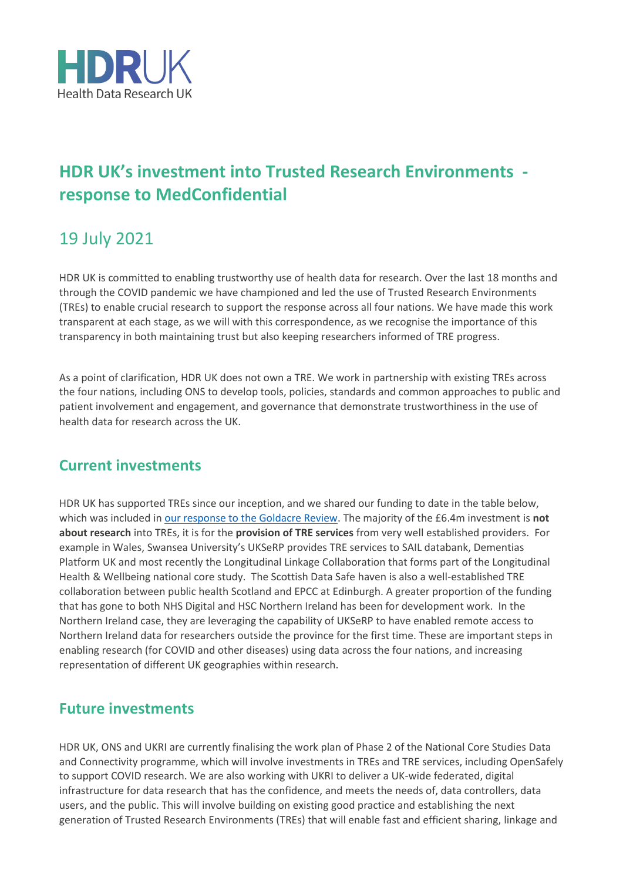

## **HDR UK's investment into Trusted Research Environments response to MedConfidential**

## 19 July 2021

HDR UK is committed to enabling trustworthy use of health data for research. Over the last 18 months and through the COVID pandemic we have championed and led the use of Trusted Research Environments (TREs) to enable crucial research to support the response across all four nations. We have made this work transparent at each stage, as we will with this correspondence, as we recognise the importance of this transparency in both maintaining trust but also keeping researchers informed of TRE progress.

As a point of clarification, HDR UK does not own a TRE. We work in partnership with existing TREs across the four nations, including ONS to develop tools, policies, standards and common approaches to public and patient involvement and engagement, and governance that demonstrate trustworthiness in the use of health data for research across the UK.

## **Current investments**

HDR UK has supported TREs since our inception, and we shared our funding to date in the table below, which was included in [our response to the Goldacre Review.](https://www.hdruk.ac.uk/news/response-to-the-goldacre-review-trusted-research-environments-and-data-management/) The majority of the £6.4m investment is **not about research** into TREs, it is for the **provision of TRE services** from very well established providers. For example in Wales, Swansea University's UKSeRP provides TRE services to SAIL databank, Dementias Platform UK and most recently the Longitudinal Linkage Collaboration that forms part of the Longitudinal Health & Wellbeing national core study. The Scottish Data Safe haven is also a well-established TRE collaboration between public health Scotland and EPCC at Edinburgh. A greater proportion of the funding that has gone to both NHS Digital and HSC Northern Ireland has been for development work. In the Northern Ireland case, they are leveraging the capability of UKSeRP to have enabled remote access to Northern Ireland data for researchers outside the province for the first time. These are important steps in enabling research (for COVID and other diseases) using data across the four nations, and increasing representation of different UK geographies within research.

## **Future investments**

HDR UK, ONS and UKRI are currently finalising the work plan of Phase 2 of the National Core Studies Data and Connectivity programme, which will involve investments in TREs and TRE services, including OpenSafely to support COVID research. We are also working with UKRI to deliver a UK-wide federated, digital infrastructure for data research that has the confidence, and meets the needs of, data controllers, data users, and the public. This will involve building on existing good practice and establishing the next generation of Trusted Research Environments (TREs) that will enable fast and efficient sharing, linkage and